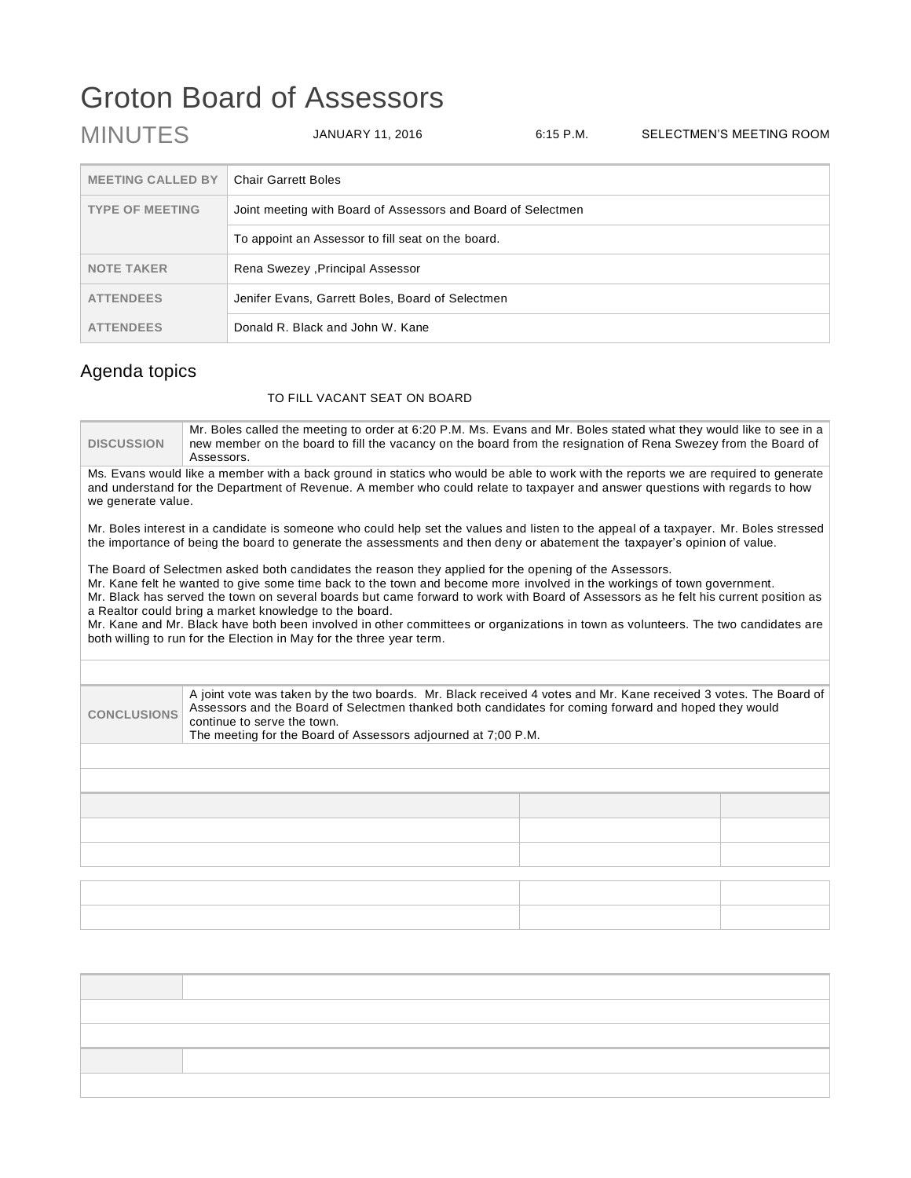## Groton Board of Assessors

| <b>MINUTES</b>           | JANUARY 11, 2016                                             | $6.15$ P.M. | SELECTMEN'S MEETING ROOM |
|--------------------------|--------------------------------------------------------------|-------------|--------------------------|
| <b>MEETING CALLED BY</b> | <b>Chair Garrett Boles</b>                                   |             |                          |
| <b>TYPE OF MEETING</b>   | Joint meeting with Board of Assessors and Board of Selectmen |             |                          |
|                          | To appoint an Assessor to fill seat on the board.            |             |                          |
| <b>NOTE TAKER</b>        | Rena Swezey , Principal Assessor                             |             |                          |
| <b>ATTENDEES</b>         | Jenifer Evans, Garrett Boles, Board of Selectmen             |             |                          |
| <b>ATTENDEES</b>         | Donald R. Black and John W. Kane                             |             |                          |

## Agenda topics

## TO FILL VACANT SEAT ON BOARD

| <b>DISCUSSION</b>                                                                                                                                                                                                                                                                                                                                                                                                                                                                                                                                                                                                                               | Mr. Boles called the meeting to order at 6:20 P.M. Ms. Evans and Mr. Boles stated what they would like to see in a<br>new member on the board to fill the vacancy on the board from the resignation of Rena Swezey from the Board of<br>Assessors.                 |  |  |
|-------------------------------------------------------------------------------------------------------------------------------------------------------------------------------------------------------------------------------------------------------------------------------------------------------------------------------------------------------------------------------------------------------------------------------------------------------------------------------------------------------------------------------------------------------------------------------------------------------------------------------------------------|--------------------------------------------------------------------------------------------------------------------------------------------------------------------------------------------------------------------------------------------------------------------|--|--|
| we generate value.                                                                                                                                                                                                                                                                                                                                                                                                                                                                                                                                                                                                                              | Ms. Evans would like a member with a back ground in statics who would be able to work with the reports we are required to generate<br>and understand for the Department of Revenue. A member who could relate to taxpayer and answer questions with regards to how |  |  |
| Mr. Boles interest in a candidate is someone who could help set the values and listen to the appeal of a taxpayer. Mr. Boles stressed<br>the importance of being the board to generate the assessments and then deny or abatement the taxpayer's opinion of value.                                                                                                                                                                                                                                                                                                                                                                              |                                                                                                                                                                                                                                                                    |  |  |
| The Board of Selectmen asked both candidates the reason they applied for the opening of the Assessors.<br>Mr. Kane felt he wanted to give some time back to the town and become more involved in the workings of town government.<br>Mr. Black has served the town on several boards but came forward to work with Board of Assessors as he felt his current position as<br>a Realtor could bring a market knowledge to the board.<br>Mr. Kane and Mr. Black have both been involved in other committees or organizations in town as volunteers. The two candidates are<br>both willing to run for the Election in May for the three year term. |                                                                                                                                                                                                                                                                    |  |  |
|                                                                                                                                                                                                                                                                                                                                                                                                                                                                                                                                                                                                                                                 |                                                                                                                                                                                                                                                                    |  |  |
| A joint vote was taken by the two boards. Mr. Black received 4 votes and Mr. Kane received 3 votes. The Board of<br>Assessors and the Board of Selectmen thanked both candidates for coming forward and hoped they would<br><b>CONCLUSIONS</b><br>continue to serve the town.<br>The meeting for the Board of Assessors adjourned at 7;00 P.M.                                                                                                                                                                                                                                                                                                  |                                                                                                                                                                                                                                                                    |  |  |
|                                                                                                                                                                                                                                                                                                                                                                                                                                                                                                                                                                                                                                                 |                                                                                                                                                                                                                                                                    |  |  |
|                                                                                                                                                                                                                                                                                                                                                                                                                                                                                                                                                                                                                                                 |                                                                                                                                                                                                                                                                    |  |  |
|                                                                                                                                                                                                                                                                                                                                                                                                                                                                                                                                                                                                                                                 |                                                                                                                                                                                                                                                                    |  |  |
|                                                                                                                                                                                                                                                                                                                                                                                                                                                                                                                                                                                                                                                 |                                                                                                                                                                                                                                                                    |  |  |
|                                                                                                                                                                                                                                                                                                                                                                                                                                                                                                                                                                                                                                                 |                                                                                                                                                                                                                                                                    |  |  |
|                                                                                                                                                                                                                                                                                                                                                                                                                                                                                                                                                                                                                                                 |                                                                                                                                                                                                                                                                    |  |  |
|                                                                                                                                                                                                                                                                                                                                                                                                                                                                                                                                                                                                                                                 |                                                                                                                                                                                                                                                                    |  |  |
|                                                                                                                                                                                                                                                                                                                                                                                                                                                                                                                                                                                                                                                 |                                                                                                                                                                                                                                                                    |  |  |